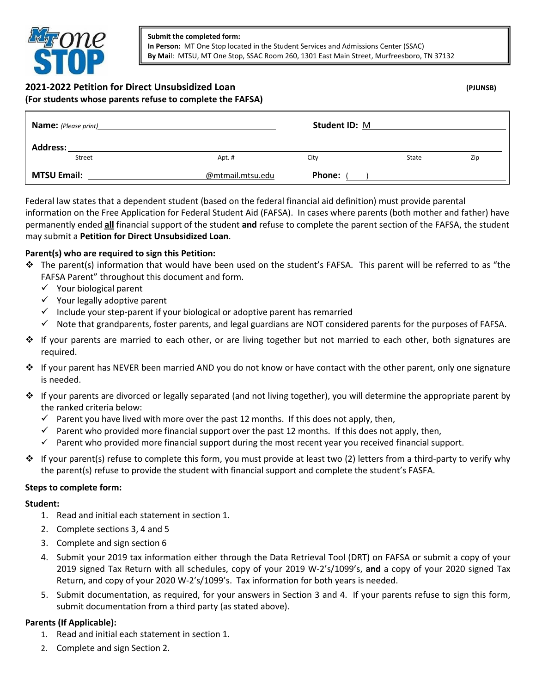

## **2021-2022 Petition for Direct Unsubsidized Loan (PJUNSB) (For students whose parents refuse to complete the FAFSA)**

| <b>Name:</b> (Please print) |                  | <b>Student ID: M</b> |       |     |
|-----------------------------|------------------|----------------------|-------|-----|
| Address:<br>Street          | Apt. #           | City                 | State | Zip |
| <b>MTSU Email:</b>          | @mtmail.mtsu.edu | <b>Phone:</b>        |       |     |

Federal law states that a dependent student (based on the federal financial aid definition) must provide parental information on the Free Application for Federal Student Aid (FAFSA). In cases where parents (both mother and father) have permanently ended **all** financial support of the student **and** refuse to complete the parent section of the FAFSA, the student may submit a **Petition for Direct Unsubsidized Loan**.

# **Parent(s) who are required to sign this Petition:**

- The parent(s) information that would have been used on the student's FAFSA. This parent will be referred to as "the FAFSA Parent" throughout this document and form.
	- $\checkmark$  Your biological parent
	- $\checkmark$  Your legally adoptive parent
	- $\checkmark$  Include your step-parent if your biological or adoptive parent has remarried
	- $\checkmark$  Note that grandparents, foster parents, and legal guardians are NOT considered parents for the purposes of FAFSA.
- $\cdot \cdot$  If your parents are married to each other, or are living together but not married to each other, both signatures are required.
- If your parent has NEVER been married AND you do not know or have contact with the other parent, only one signature is needed.
- $\div$  If your parents are divorced or legally separated (and not living together), you will determine the appropriate parent by the ranked criteria below:
	- $\checkmark$  Parent you have lived with more over the past 12 months. If this does not apply, then,
	- $\checkmark$  Parent who provided more financial support over the past 12 months. If this does not apply, then,
	- $\checkmark$  Parent who provided more financial support during the most recent year you received financial support.
- $\div$  If your parent(s) refuse to complete this form, you must provide at least two (2) letters from a third-party to verify why the parent(s) refuse to provide the student with financial support and complete the student's FASFA.

### **Steps to complete form:**

### **Student:**

- 1. Read and initial each statement in section 1.
- 2. Complete sections 3, 4 and 5
- 3. Complete and sign section 6
- 4. Submit your 2019 tax information either through the Data Retrieval Tool (DRT) on FAFSA or submit a copy of your 2019 signed Tax Return with all schedules, copy of your 2019 W-2's/1099's, **and** a copy of your 2020 signed Tax Return, and copy of your 2020 W-2's/1099's. Tax information for both years is needed.
- 5. Submit documentation, as required, for your answers in Section 3 and 4. If your parents refuse to sign this form, submit documentation from a third party (as stated above).

# **Parents (If Applicable):**

- 1. Read and initial each statement in section 1.
- 2. Complete and sign Section 2.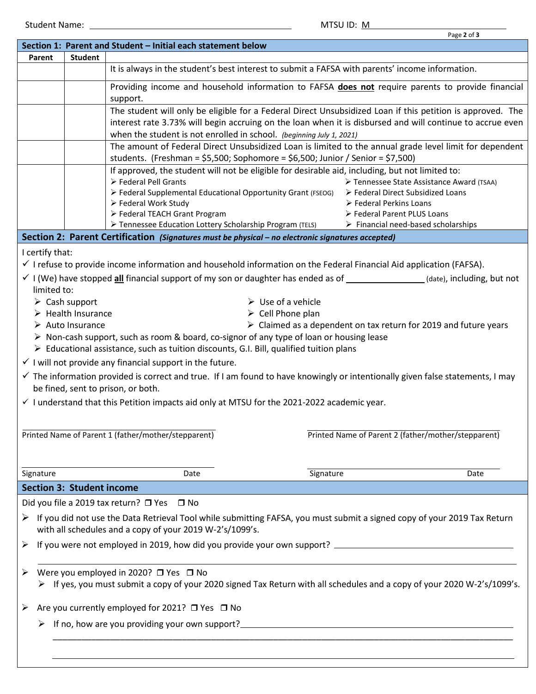|                                                                                                                                                                                           |                                   |                                                                                                                                                                                                                         | Page 2 of 3                                                                     |  |  |  |  |
|-------------------------------------------------------------------------------------------------------------------------------------------------------------------------------------------|-----------------------------------|-------------------------------------------------------------------------------------------------------------------------------------------------------------------------------------------------------------------------|---------------------------------------------------------------------------------|--|--|--|--|
|                                                                                                                                                                                           |                                   | Section 1: Parent and Student - Initial each statement below                                                                                                                                                            |                                                                                 |  |  |  |  |
| Parent                                                                                                                                                                                    | <b>Student</b>                    |                                                                                                                                                                                                                         |                                                                                 |  |  |  |  |
|                                                                                                                                                                                           |                                   | It is always in the student's best interest to submit a FAFSA with parents' income information.                                                                                                                         |                                                                                 |  |  |  |  |
|                                                                                                                                                                                           |                                   | Providing income and household information to FAFSA does not require parents to provide financial<br>support.                                                                                                           |                                                                                 |  |  |  |  |
|                                                                                                                                                                                           |                                   | The student will only be eligible for a Federal Direct Unsubsidized Loan if this petition is approved. The<br>interest rate 3.73% will begin accruing on the loan when it is disbursed and will continue to accrue even |                                                                                 |  |  |  |  |
|                                                                                                                                                                                           |                                   | when the student is not enrolled in school. (beginning July 1, 2021)                                                                                                                                                    |                                                                                 |  |  |  |  |
|                                                                                                                                                                                           |                                   | The amount of Federal Direct Unsubsidized Loan is limited to the annual grade level limit for dependent<br>students. (Freshman = $$5,500$ ; Sophomore = $$6,500$ ; Junior / Senior = $$7,500$ )                         |                                                                                 |  |  |  |  |
|                                                                                                                                                                                           |                                   | If approved, the student will not be eligible for desirable aid, including, but not limited to:                                                                                                                         |                                                                                 |  |  |  |  |
|                                                                                                                                                                                           |                                   | > Federal Pell Grants<br>> Federal Supplemental Educational Opportunity Grant (FSEOG)                                                                                                                                   | > Tennessee State Assistance Award (TSAA)                                       |  |  |  |  |
|                                                                                                                                                                                           |                                   | ▶ Federal Work Study                                                                                                                                                                                                    | ▶ Federal Direct Subsidized Loans<br>$\triangleright$ Federal Perkins Loans     |  |  |  |  |
|                                                                                                                                                                                           |                                   | > Federal TEACH Grant Program                                                                                                                                                                                           | Eederal Parent PLUS Loans                                                       |  |  |  |  |
|                                                                                                                                                                                           |                                   | > Tennessee Education Lottery Scholarship Program (TELS)                                                                                                                                                                | $\triangleright$ Financial need-based scholarships                              |  |  |  |  |
|                                                                                                                                                                                           |                                   | Section 2: Parent Certification (Signatures must be physical - no electronic signatures accepted)                                                                                                                       |                                                                                 |  |  |  |  |
| I certify that:                                                                                                                                                                           |                                   |                                                                                                                                                                                                                         |                                                                                 |  |  |  |  |
|                                                                                                                                                                                           |                                   | $\checkmark$ I refuse to provide income information and household information on the Federal Financial Aid application (FAFSA).                                                                                         |                                                                                 |  |  |  |  |
|                                                                                                                                                                                           |                                   | $\checkmark$ I (We) have stopped all financial support of my son or daughter has ended as of _____________(date), including, but not                                                                                    |                                                                                 |  |  |  |  |
| limited to:                                                                                                                                                                               |                                   |                                                                                                                                                                                                                         |                                                                                 |  |  |  |  |
|                                                                                                                                                                                           | $\triangleright$ Cash support     | $\triangleright$ Use of a vehicle                                                                                                                                                                                       |                                                                                 |  |  |  |  |
|                                                                                                                                                                                           | $\triangleright$ Health Insurance | $\triangleright$ Cell Phone plan                                                                                                                                                                                        |                                                                                 |  |  |  |  |
|                                                                                                                                                                                           | $\triangleright$ Auto Insurance   |                                                                                                                                                                                                                         | $\triangleright$ Claimed as a dependent on tax return for 2019 and future years |  |  |  |  |
|                                                                                                                                                                                           |                                   | $\triangleright$ Non-cash support, such as room & board, co-signor of any type of loan or housing lease                                                                                                                 |                                                                                 |  |  |  |  |
|                                                                                                                                                                                           |                                   | $\triangleright$ Educational assistance, such as tuition discounts, G.I. Bill, qualified tuition plans                                                                                                                  |                                                                                 |  |  |  |  |
|                                                                                                                                                                                           |                                   |                                                                                                                                                                                                                         |                                                                                 |  |  |  |  |
|                                                                                                                                                                                           |                                   | $\checkmark$ I will not provide any financial support in the future.                                                                                                                                                    |                                                                                 |  |  |  |  |
| √ The information provided is correct and true. If I am found to have knowingly or intentionally given false statements, I may                                                            |                                   |                                                                                                                                                                                                                         |                                                                                 |  |  |  |  |
|                                                                                                                                                                                           |                                   | be fined, sent to prison, or both.                                                                                                                                                                                      |                                                                                 |  |  |  |  |
|                                                                                                                                                                                           |                                   | $\checkmark$ I understand that this Petition impacts aid only at MTSU for the 2021-2022 academic year.                                                                                                                  |                                                                                 |  |  |  |  |
|                                                                                                                                                                                           |                                   |                                                                                                                                                                                                                         |                                                                                 |  |  |  |  |
|                                                                                                                                                                                           |                                   | Printed Name of Parent 1 (father/mother/stepparent)                                                                                                                                                                     | Printed Name of Parent 2 (father/mother/stepparent)                             |  |  |  |  |
|                                                                                                                                                                                           |                                   |                                                                                                                                                                                                                         |                                                                                 |  |  |  |  |
|                                                                                                                                                                                           |                                   |                                                                                                                                                                                                                         |                                                                                 |  |  |  |  |
| Signature                                                                                                                                                                                 |                                   | Signature<br>Date                                                                                                                                                                                                       | Date                                                                            |  |  |  |  |
| <b>Section 3: Student income</b>                                                                                                                                                          |                                   |                                                                                                                                                                                                                         |                                                                                 |  |  |  |  |
|                                                                                                                                                                                           |                                   | Did you file a 2019 tax return? □ Yes □ No                                                                                                                                                                              |                                                                                 |  |  |  |  |
| If you did not use the Data Retrieval Tool while submitting FAFSA, you must submit a signed copy of your 2019 Tax Return<br>➤<br>with all schedules and a copy of your 2019 W-2's/1099's. |                                   |                                                                                                                                                                                                                         |                                                                                 |  |  |  |  |
| ➤                                                                                                                                                                                         |                                   |                                                                                                                                                                                                                         |                                                                                 |  |  |  |  |
|                                                                                                                                                                                           |                                   |                                                                                                                                                                                                                         |                                                                                 |  |  |  |  |
| ➤                                                                                                                                                                                         |                                   | Were you employed in 2020? □ Yes □ No                                                                                                                                                                                   |                                                                                 |  |  |  |  |
| ► If yes, you must submit a copy of your 2020 signed Tax Return with all schedules and a copy of your 2020 W-2's/1099's.                                                                  |                                   |                                                                                                                                                                                                                         |                                                                                 |  |  |  |  |
| Are you currently employed for 2021? □ Yes □ No<br>➤                                                                                                                                      |                                   |                                                                                                                                                                                                                         |                                                                                 |  |  |  |  |
| ➤                                                                                                                                                                                         |                                   |                                                                                                                                                                                                                         |                                                                                 |  |  |  |  |
|                                                                                                                                                                                           |                                   |                                                                                                                                                                                                                         |                                                                                 |  |  |  |  |
|                                                                                                                                                                                           |                                   |                                                                                                                                                                                                                         |                                                                                 |  |  |  |  |
|                                                                                                                                                                                           |                                   |                                                                                                                                                                                                                         |                                                                                 |  |  |  |  |